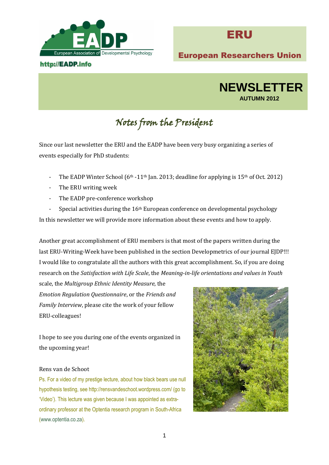

# http://EADP.info



European Researchers Union



# Notes from the President

Since our last newsletter the ERU and the EADP have been very busy organizing a series of events especially for PhD students:

- The EADP Winter School  $(6<sup>th</sup> 11<sup>th</sup>$  Jan. 2013; deadline for applying is 15<sup>th</sup> of Oct. 2012)
- The ERU writing week
- The EADP pre-conference workshop
- Special activities during the  $16<sup>th</sup>$  European conference on developmental psychology

In this newsletter we will provide more information about these events and how to apply.

Another great accomplishment of ERU members is that most of the papers written during the last ERU-Writing-Week have been published in the section Developmetrics of our journal EJDP!!! I would like to congratulate all the authors with this great accomplishment. So, if you are doing research on the *Satisfaction with Life Scale*, the *Meaning-in-life orientations and values in Youth* 

scale, the *Multigroup Ethnic Identity Measure*, the *Emotion Regulation Questionnaire*, or the *Friends and Family Interview*, please cite the work of your fellow ERU-colleagues!

I hope to see you during one of the events organized in the upcoming year!

#### Rens van de Schoot

Ps. For a video of my prestige lecture, about how black bears use null hypothesis testing, see<http://rensvandeschoot.wordpress.com/> (go to 'Video'). This lecture was given because I was appointed as extraordinary professor at the Optentia research program in South-Africa [\(www.optentia.co.za\)](http://www.optentia.co.za/).

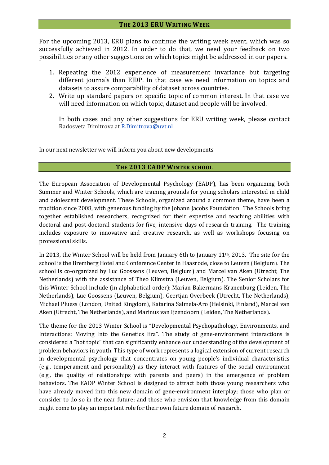## **THE 2013 ERU WRITING WEEK**

For the upcoming 2013, ERU plans to continue the writing week event, which was so successfully achieved in 2012. In order to do that, we need your feedback on two possibilities or any other suggestions on which topics might be addressed in our papers.

- 1. Repeating the 2012 experience of measurement invariance but targeting different journals than EJDP. In that case we need information on topics and datasets to assure comparability of dataset across countries.
- 2. Write up standard papers on specific topic of common interest. In that case we will need information on which topic, dataset and people will be involved.

In both cases and any other suggestions for ERU writing week, please contact Radosveta Dimitrova a[t R.Dimitrova@uvt.nl](mailto:R.Dimitrova@uvt.nl)

In our next newsletter we will inform you about new developments.

## **THE 2013 EADP WINTER SCHOOL**

The European Association of Developmental Psychology (EADP), has been organizing both Summer and Winter Schools, which are training grounds for young scholars interested in child and adolescent development. These Schools, organized around a common theme, have been a tradition since 2008, with generous funding by the Johann Jacobs Foundation. The Schools bring together established researchers, recognized for their expertise and teaching abilities with doctoral and post-doctoral students for five, intensive days of research training. The training includes exposure to innovative and creative research, as well as workshops focusing on professional skills.

In 2013, the Winter School will be held from January 6th to January 11th, 2013. The site for the school is the Bremberg Hotel and Conference Center in Haasrode, close to Leuven (Belgium). The school is co-organized by Luc Goossens (Leuven, Belgium) and Marcel van Aken (Utrecht, The Netherlands) with the assistance of Theo Klimstra (Leuven, Belgium). The Senior Scholars for this Winter School include (in alphabetical order): Marian Bakermans-Kranenburg (Leiden, The Netherlands), Luc Goossens (Leuven, Belgium), Geertjan Overbeek (Utrecht, The Netherlands), Michael Pluess (London, United Kingdom), Katarina Salmela-Aro (Helsinki, Finland), Marcel van Aken (Utrecht, The Netherlands), and Marinus van Ijzendoorn (Leiden, The Netherlands).

The theme for the 2013 Winter School is "Developmental Psychopathology, Environments, and Interactions: Moving Into the Genetics Era". The study of gene-environment interactions is considered a "hot topic" that can significantly enhance our understanding of the development of problem behaviors in youth. This type of work represents a logical extension of current research in developmental psychology that concentrates on young people's individual characteristics (e.g., temperament and personality) as they interact with features of the social environment (e.g., the quality of relationships with parents and peers) in the emergence of problem behaviors. The EADP Winter School is designed to attract both those young researchers who have already moved into this new domain of gene-environment interplay; those who plan or consider to do so in the near future; and those who envision that knowledge from this domain might come to play an important role for their own future domain of research.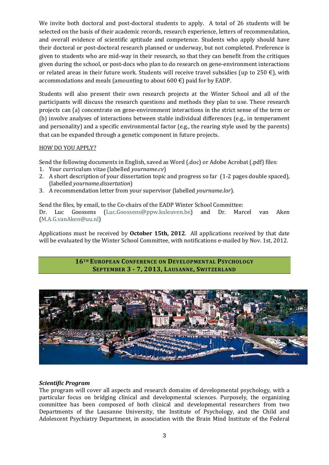We invite both doctoral and post-doctoral students to apply. A total of 26 students will be selected on the basis of their academic records, research experience, letters of recommendation, and overall evidence of scientific aptitude and competence. Students who apply should have their doctoral or post-doctoral research planned or underway, but not completed. Preference is given to students who are mid-way in their research, so that they can benefit from the critiques given during the school, or post-docs who plan to do research on gene-environment interactions or related areas in their future work. Students will receive travel subsidies (up to 250  $\epsilon$ ), with accommodations and meals (amounting to about 600  $\epsilon$ ) paid for by EADP.

Students will also present their own research projects at the Winter School and all of the participants will discuss the research questions and methods they plan to use. These research projects can (a) concentrate on gene-environment interactions in the strict sense of the term or (b) involve analyses of interactions between stable individual differences (e.g., in temperament and personality) and a specific environmental factor (e.g., the rearing style used by the parents) that can be expanded through a genetic component in future projects.

#### HOW DO YOU APPLY?

Send the following documents in English, saved as Word (.doc) or Adobe Acrobat (.pdf) files:

- 1. Your curriculum vitae (labelled *yourname.cv*)
- 2. A short description of your dissertation topic and progress so far (1-2 pages double spaced), (labelled *yourname.dissertation*)
- 3. A recommendation letter from your supervisor (labelled *yourname.lor*).

Send the files, by email, to the Co-chairs of the EADP Winter School Committee: Dr. Luc Goossens [\(Luc.Goossens@ppw.kuleuven.be\)](mailto:Luc.Goossens@ppw.kuleuven.be) and Dr. Marcel van Aken [\(M.A.G.vanAken@uu.nl\)](mailto:M.A.G.vanAken@uu.nl)

Applications must be received by **October 15th, 2012**. All applications received by that date will be evaluated by the Winter School Committee, with notifications e-mailed by Nov. 1st, 2012.

## **16TH EUROPEAN CONFERENCE ON DEVELOPMENTAL PSYCHOLOGY SEPTEMBER 3 - 7, 2013, LAUSANNE, SWITZERLAND**



## *Scientific Program*

The program will cover all aspects and research domains of developmental psychology, with a particular focus on bridging clinical and developmental sciences. Purposely, the organizing committee has been composed of both clinical and developmental researchers from two Departments of the Lausanne University, the Institute of Psychology, and the Child and Adolescent Psychiatry Department, in association with the Brain Mind Institute of the Federal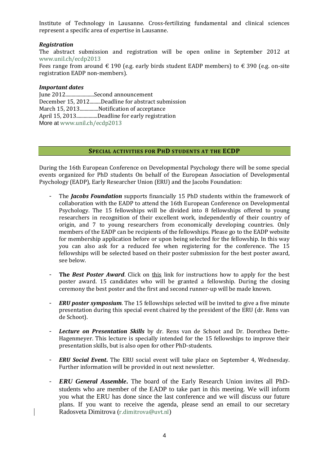Institute of Technology in Lausanne. Cross-fertilizing fundamental and clinical sciences represent a specific area of expertise in Lausanne.

### *Registration*

The abstract submission and registration will be open online in September 2012 at [www.unil.ch/ecdp2013](http://www.unil.ch/ecdp2013)

Fees range from around  $\epsilon$  190 (e.g. early birds student EADP members) to  $\epsilon$  390 (e.g. on-site registration EADP non-members).

#### *Important dates*

June 2012.......................Second announcement December 15, 2012.........Deadline for abstract submission March 15, 2013...............Notification of acceptance April 15, 2013.................Deadline for early registration More at [www.unil.ch/ecdp2013](http://www.unil.ch/ecdp2013)

#### **SPECIAL ACTIVITIES FOR PHD STUDENTS AT THE ECDP**

During the 16th European Conference on Developmental Psychology there will be some special events organized for PhD students On behalf of the European Association of Developmental Psychology (EADP), Early Researcher Union (ERU) and the Jacobs Foundation:

- The *Jacobs Foundation* supports financially 15 PhD students within the framework of collaboration with the EADP to attend the 16th European Conference on Developmental Psychology. The 15 fellowships will be divided into 8 fellowships offered to young researchers in recognition of their excellent work, independently of their country of origin, and 7 to young researchers from economically developing countries. Only members of the EADP can be recipients of the fellowships. Please go to the EADP website for membership application before or upon being selected for the fellowship. In this way you can also ask for a reduced fee when registering for the conference. The 15 fellowships will be selected based on their poster submission for the best poster award, see below.
- **The** *Best Poster Award*. Click on this link for instructions how to apply for the best poster award. 15 candidates who will be granted a fellowship. During the closing ceremony the best poster and the first and second runner-up will be made known.
- *ERU poster symposium*. The 15 fellowships selected will be invited to give a five minute presentation during this special event chaired by the president of the ERU (dr. Rens van de Schoot).
- *Lecture on Presentation Skills* by dr. Rens van de Schoot and Dr. Dorothea Dette-Hagenmeyer. This lecture is specially intended for the 15 fellowships to improve their presentation skills, but is also open for other PhD-students.
- *ERU Social Event***.** The ERU social event will take place on September 4, Wednesday. Further information will be provided in out next newsletter.
- *ERU General Assemble***.** The board of the Early Research Union invites all PhDstudents who are member of the EADP to take part in this meeting. We will inform you what the ERU has done since the last conference and we will discuss our future plans. If you want to receive the agenda, please send an email to our secretary Radosveta Dimitrova ([r.dimitrova@uvt.nl](mailto:r.dimitrova@uvt.nl))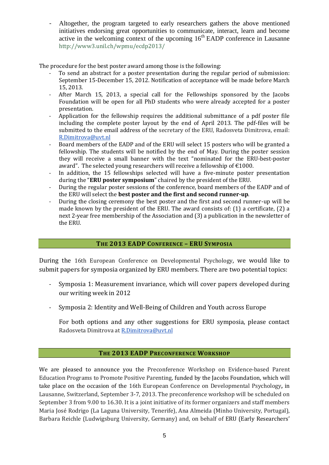- Altogether, the program targeted to early researchers gathers the above mentioned initiatives endorsing great opportunities to communicate, interact, learn and become active in the welcoming context of the upcoming  $16<sup>th</sup>$  EADP conference in Lausanne <http://www3.unil.ch/wpmu/ecdp2013/>

The procedure for the best poster award among those is the following:

- To send an abstract for a poster presentation during the regular period of submission: September 15-December 15, 2012. Notification of acceptance will be made before March 15, 2013.
- After March 15, 2013, a special call for the Fellowships sponsored by the Jacobs Foundation will be open for all PhD students who were already accepted for a poster presentation.
- Application for the fellowship requires the additional submittance of a pdf poster file including the complete poster layout by the end of April 2013. The pdf-files will be submitted to the email address of the secretary of the ERU, Radosveta Dimitrova, email: [R.Dimitrova@uvt.nl](mailto:R.Dimitrova@uvt.nl)
- Board members of the EADP and of the ERU will select 15 posters who will be granted a fellowship. The students will be notified by the end of May. During the poster session they will receive a small banner with the text "nominated for the ERU-best-poster award". The selected young researchers will receive a fellowship of  $\epsilon$ 1000.
- In addition, the 15 fellowships selected will have a five-minute poster presentation during the "**ERU poster symposium**" chaired by the president of the ERU.
- During the regular poster sessions of the conference, board members of the EADP and of the ERU will select the **best poster and the first and second runner-up**.
- During the closing ceremony the best poster and the first and second runner-up will be made known by the president of the ERU. The award consists of: (1) a certificate, (2) a next 2-year free membership of the Association and (3) a publication in the newsletter of the ERU.

# **THE 2013 EADP CONFERENCE – ERU SYMPOSIA**

During the 16th European Conference on Developmental Psychology, we would like to submit papers for symposia organized by ERU members. There are two potential topics:

- Symposia 1: Measurement invariance, which will cover papers developed during our writing week in 2012
- Symposia 2: Identity and Well-Being of Children and Youth across Europe

For both options and any other suggestions for ERU symposia, please contact Radosveta Dimitrova a[t R.Dimitrova@uvt.nl](mailto:R.Dimitrova@uvt.nl)

# **THE 2013 EADP PRECONFERENCE WORKSHOP**

We are pleased to announce you the Preconference Workshop on Evidence-based Parent Education Programs to Promote Positive Parenting, funded by the Jacobs Foundation, which will take place on the occasion of the 16th European Conference on Developmental Psychology**,** in Lausanne, Switzerland, September 3-7, 2013. The preconference workshop will be scheduled on September 3 from 9.00 to 16.30. It is a joint initiative of its former organizers and staff members Maria José Rodrigo (La Laguna University, Tenerife), Ana Almeida (Minho University, Portugal), Barbara Reichle (Ludwigsburg University, Germany) and, on behalf of ERU (Early Researchers'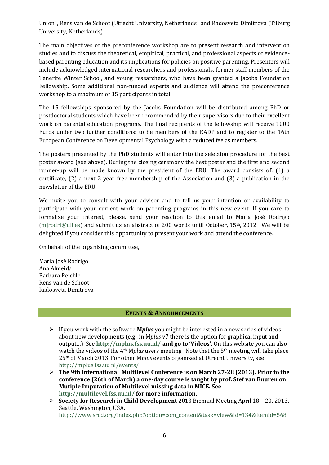Union), Rens van de Schoot (Utrecht University, Netherlands) and Radosveta Dimitrova (Tilburg University, Netherlands).

The main objectives of the preconference workshop are to present research and intervention studies and to discuss the theoretical, empirical, practical, and professional aspects of evidencebased parenting education and its implications for policies on positive parenting. Presenters will include acknowledged international researchers and professionals, former staff members of the Tenerife Winter School, and young researchers, who have been granted a Jacobs Foundation Fellowship. Some additional non-funded experts and audience will attend the preconference workshop to a maximum of 35 participants in total.

The 15 fellowships sponsored by the Jacobs Foundation will be distributed among PhD or postdoctoral students which have been recommended by their supervisors due to their excellent work on parental education programs. The final recipients of the fellowship will receive 1000 Euros under two further conditions: to be members of the EADP and to register to the 16th European Conference on Developmental Psychology with a reduced fee as members.

The posters presented by the PhD students will enter into the selection procedure for the best poster award (see above). During the closing ceremony the best poster and the first and second runner-up will be made known by the president of the ERU. The award consists of: (1) a certificate, (2) a next 2-year free membership of the Association and (3) a publication in the newsletter of the ERU.

We invite you to consult with your advisor and to tell us your intention or availability to participate with your current work on parenting programs in this new event. If you care to formalize your interest, please, send your reaction to this email to María José Rodrigo (mirodri@ull.es) and submit us an abstract of 200 words until October, 15<sup>th</sup>, 2012. We will be delighted if you consider this opportunity to present your work and attend the conference.

On behalf of the organizing committee,

Maria José Rodrigo Ana Almeida Barbara Reichle Rens van de Schoot Radosveta Dimitrova

## **EVENTS & ANNOUNCEMENTS**

- If you work with the software **M***plus* you might be interested in a new series of videos about new developments (e.g., in M*plus* v7 there is the option for graphical input and output…). See **<http://mplus.fss.uu.nl/> and go to 'Videos'.** On this website you can also watch the videos of the 4th M*plus* users meeting. Note that the 5th meeting will take place 25th of March 2013. For other M*plus* events organized at Utrecht University, see <http://mplus.fss.uu.nl/events/>
- **The 9th International Multilevel Conference is on March 27-28 (2013). Prior to the conference (26th of March) a one-day course is taught by prof. Stef van Buuren on Mutiple Imputation of Multilevel missing data in MICE. See <http://multilevel.fss.uu.nl/> for more information.**
- **Society for Research in Child Development** 2013 Biennial Meeting April 18 20, 2013, Seattle, Washington, USA,